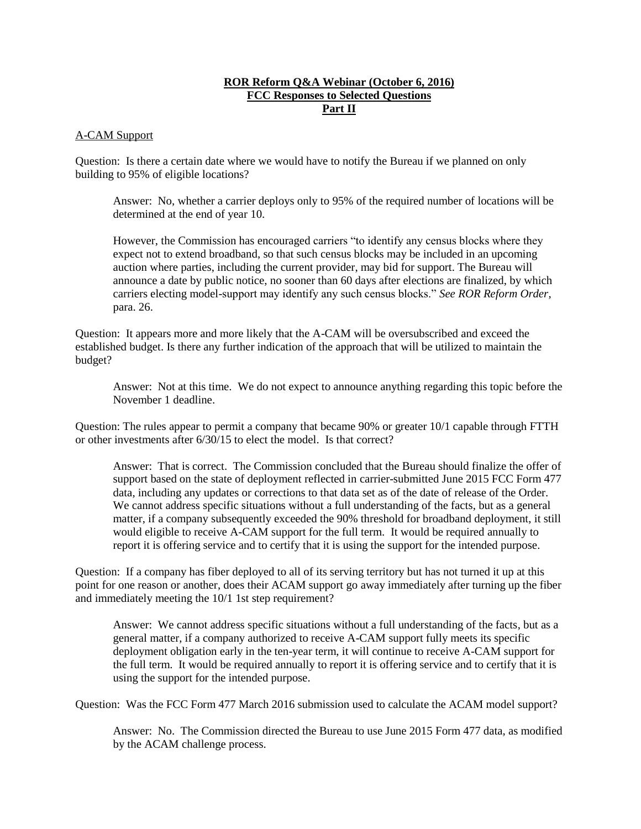# **ROR Reform Q&A Webinar (October 6, 2016) FCC Responses to Selected Questions Part II**

## A-CAM Support

Question: Is there a certain date where we would have to notify the Bureau if we planned on only building to 95% of eligible locations?

Answer: No, whether a carrier deploys only to 95% of the required number of locations will be determined at the end of year 10.

However, the Commission has encouraged carriers "to identify any census blocks where they expect not to extend broadband, so that such census blocks may be included in an upcoming auction where parties, including the current provider, may bid for support. The Bureau will announce a date by public notice, no sooner than 60 days after elections are finalized, by which carriers electing model-support may identify any such census blocks." *See ROR Reform Order*, para. 26.

Question: It appears more and more likely that the A-CAM will be oversubscribed and exceed the established budget. Is there any further indication of the approach that will be utilized to maintain the budget?

Answer: Not at this time. We do not expect to announce anything regarding this topic before the November 1 deadline.

Question: The rules appear to permit a company that became 90% or greater 10/1 capable through FTTH or other investments after 6/30/15 to elect the model. Is that correct?

Answer: That is correct. The Commission concluded that the Bureau should finalize the offer of support based on the state of deployment reflected in carrier-submitted June 2015 FCC Form 477 data, including any updates or corrections to that data set as of the date of release of the Order. We cannot address specific situations without a full understanding of the facts, but as a general matter, if a company subsequently exceeded the 90% threshold for broadband deployment, it still would eligible to receive A-CAM support for the full term. It would be required annually to report it is offering service and to certify that it is using the support for the intended purpose.

Question: If a company has fiber deployed to all of its serving territory but has not turned it up at this point for one reason or another, does their ACAM support go away immediately after turning up the fiber and immediately meeting the 10/1 1st step requirement?

Answer: We cannot address specific situations without a full understanding of the facts, but as a general matter, if a company authorized to receive A-CAM support fully meets its specific deployment obligation early in the ten-year term, it will continue to receive A-CAM support for the full term. It would be required annually to report it is offering service and to certify that it is using the support for the intended purpose.

Question: Was the FCC Form 477 March 2016 submission used to calculate the ACAM model support?

Answer: No. The Commission directed the Bureau to use June 2015 Form 477 data, as modified by the ACAM challenge process.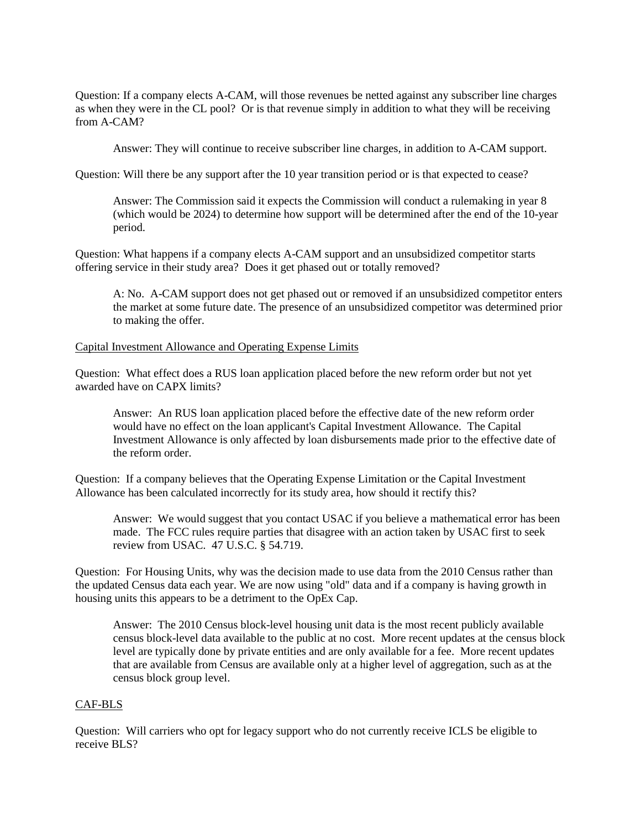Question: If a company elects A-CAM, will those revenues be netted against any subscriber line charges as when they were in the CL pool? Or is that revenue simply in addition to what they will be receiving from A-CAM?

Answer: They will continue to receive subscriber line charges, in addition to A-CAM support.

Question: Will there be any support after the 10 year transition period or is that expected to cease?

Answer: The Commission said it expects the Commission will conduct a rulemaking in year 8 (which would be 2024) to determine how support will be determined after the end of the 10-year period.

Question: What happens if a company elects A-CAM support and an unsubsidized competitor starts offering service in their study area? Does it get phased out or totally removed?

A: No. A-CAM support does not get phased out or removed if an unsubsidized competitor enters the market at some future date. The presence of an unsubsidized competitor was determined prior to making the offer.

## Capital Investment Allowance and Operating Expense Limits

Question: What effect does a RUS loan application placed before the new reform order but not yet awarded have on CAPX limits?

Answer: An RUS loan application placed before the effective date of the new reform order would have no effect on the loan applicant's Capital Investment Allowance. The Capital Investment Allowance is only affected by loan disbursements made prior to the effective date of the reform order.

Question: If a company believes that the Operating Expense Limitation or the Capital Investment Allowance has been calculated incorrectly for its study area, how should it rectify this?

Answer: We would suggest that you contact USAC if you believe a mathematical error has been made. The FCC rules require parties that disagree with an action taken by USAC first to seek review from USAC. 47 U.S.C. § 54.719.

Question: For Housing Units, why was the decision made to use data from the 2010 Census rather than the updated Census data each year. We are now using "old" data and if a company is having growth in housing units this appears to be a detriment to the OpEx Cap.

Answer: The 2010 Census block-level housing unit data is the most recent publicly available census block-level data available to the public at no cost. More recent updates at the census block level are typically done by private entities and are only available for a fee. More recent updates that are available from Census are available only at a higher level of aggregation, such as at the census block group level.

# CAF-BLS

Question: Will carriers who opt for legacy support who do not currently receive ICLS be eligible to receive BLS?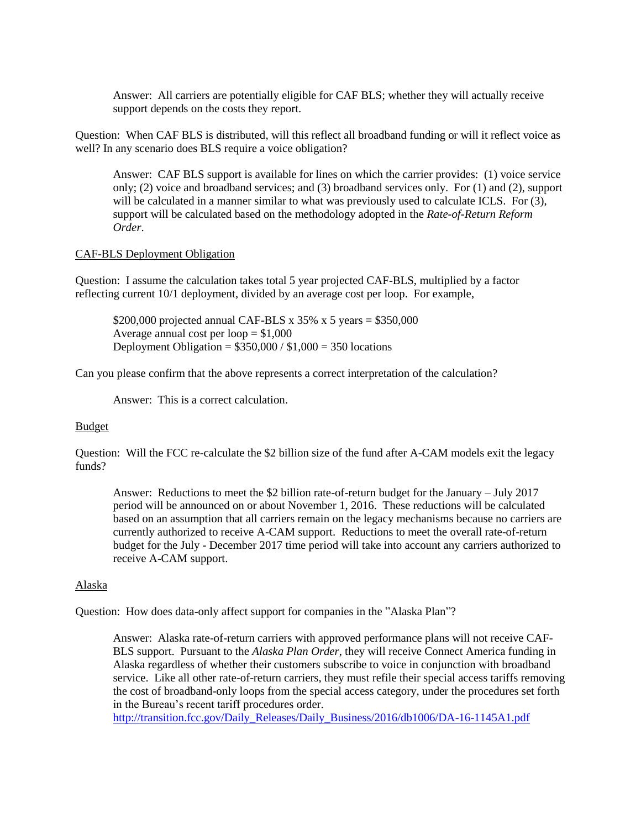Answer: All carriers are potentially eligible for CAF BLS; whether they will actually receive support depends on the costs they report.

Question: When CAF BLS is distributed, will this reflect all broadband funding or will it reflect voice as well? In any scenario does BLS require a voice obligation?

Answer: CAF BLS support is available for lines on which the carrier provides: (1) voice service only; (2) voice and broadband services; and (3) broadband services only. For (1) and (2), support will be calculated in a manner similar to what was previously used to calculate ICLS. For (3), support will be calculated based on the methodology adopted in the *Rate-of-Return Reform Order*.

## CAF-BLS Deployment Obligation

Question: I assume the calculation takes total 5 year projected CAF-BLS, multiplied by a factor reflecting current 10/1 deployment, divided by an average cost per loop. For example,

\$200,000 projected annual CAF-BLS x  $35\%$  x 5 years = \$350,000 Average annual cost per loop  $= $1,000$ Deployment Obligation =  $$350,000 / $1,000 = 350$  locations

Can you please confirm that the above represents a correct interpretation of the calculation?

Answer: This is a correct calculation.

#### Budget

Question: Will the FCC re-calculate the \$2 billion size of the fund after A-CAM models exit the legacy funds?

Answer: Reductions to meet the \$2 billion rate-of-return budget for the January – July 2017 period will be announced on or about November 1, 2016. These reductions will be calculated based on an assumption that all carriers remain on the legacy mechanisms because no carriers are currently authorized to receive A-CAM support. Reductions to meet the overall rate-of-return budget for the July - December 2017 time period will take into account any carriers authorized to receive A-CAM support.

#### Alaska

Question: How does data-only affect support for companies in the "Alaska Plan"?

Answer: Alaska rate-of-return carriers with approved performance plans will not receive CAF-BLS support. Pursuant to the *Alaska Plan Order*, they will receive Connect America funding in Alaska regardless of whether their customers subscribe to voice in conjunction with broadband service. Like all other rate-of-return carriers, they must refile their special access tariffs removing the cost of broadband-only loops from the special access category, under the procedures set forth in the Bureau's recent tariff procedures order.

[http://transition.fcc.gov/Daily\\_Releases/Daily\\_Business/2016/db1006/DA-16-1145A1.pdf](http://transition.fcc.gov/Daily_Releases/Daily_Business/2016/db1006/DA-16-1145A1.pdf)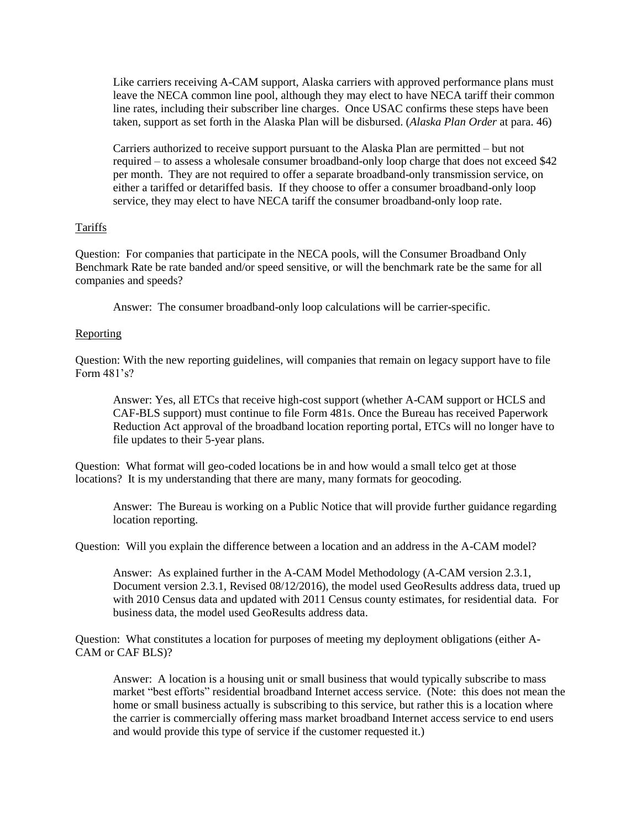Like carriers receiving A-CAM support, Alaska carriers with approved performance plans must leave the NECA common line pool, although they may elect to have NECA tariff their common line rates, including their subscriber line charges. Once USAC confirms these steps have been taken, support as set forth in the Alaska Plan will be disbursed. (*Alaska Plan Order* at para. 46)

Carriers authorized to receive support pursuant to the Alaska Plan are permitted – but not required – to assess a wholesale consumer broadband-only loop charge that does not exceed \$42 per month. They are not required to offer a separate broadband-only transmission service, on either a tariffed or detariffed basis. If they choose to offer a consumer broadband-only loop service, they may elect to have NECA tariff the consumer broadband-only loop rate.

## Tariffs

Question: For companies that participate in the NECA pools, will the Consumer Broadband Only Benchmark Rate be rate banded and/or speed sensitive, or will the benchmark rate be the same for all companies and speeds?

Answer: The consumer broadband-only loop calculations will be carrier-specific.

## **Reporting**

Question: With the new reporting guidelines, will companies that remain on legacy support have to file Form 481's?

Answer: Yes, all ETCs that receive high-cost support (whether A-CAM support or HCLS and CAF-BLS support) must continue to file Form 481s. Once the Bureau has received Paperwork Reduction Act approval of the broadband location reporting portal, ETCs will no longer have to file updates to their 5-year plans.

Question: What format will geo-coded locations be in and how would a small telco get at those locations? It is my understanding that there are many, many formats for geocoding.

Answer: The Bureau is working on a Public Notice that will provide further guidance regarding location reporting.

Question: Will you explain the difference between a location and an address in the A-CAM model?

Answer: As explained further in the A-CAM Model Methodology (A-CAM version 2.3.1, Document version 2.3.1, Revised 08/12/2016), the model used GeoResults address data, trued up with 2010 Census data and updated with 2011 Census county estimates, for residential data. For business data, the model used GeoResults address data.

Question: What constitutes a location for purposes of meeting my deployment obligations (either A-CAM or CAF BLS)?

Answer: A location is a housing unit or small business that would typically subscribe to mass market "best efforts" residential broadband Internet access service. (Note: this does not mean the home or small business actually is subscribing to this service, but rather this is a location where the carrier is commercially offering mass market broadband Internet access service to end users and would provide this type of service if the customer requested it.)